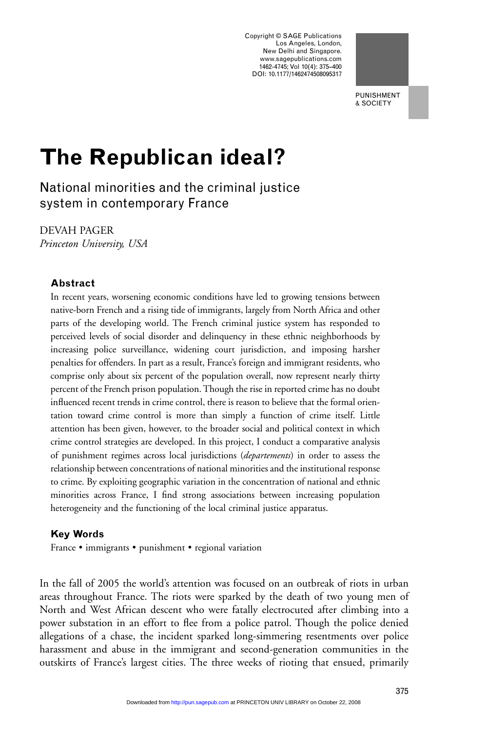Copyright © SAGE Publications Los Angeles, London, New Delhi and Singapore. www.sagepublications.com 1462-4745; Vol 10(4): 375–400 DOI: 10.1177/1462474508095317



& SOCIETY

# **The Republican ideal?**

National minorities and the criminal justice system in contemporary France

DEVAH PAGER *Princeton University, USA*

# **Abstract**

In recent years, worsening economic conditions have led to growing tensions between native-born French and a rising tide of immigrants, largely from North Africa and other parts of the developing world. The French criminal justice system has responded to perceived levels of social disorder and delinquency in these ethnic neighborhoods by increasing police surveillance, widening court jurisdiction, and imposing harsher penalties for offenders. In part as a result, France's foreign and immigrant residents, who comprise only about six percent of the population overall, now represent nearly thirty percent of the French prison population. Though the rise in reported crime has no doubt influenced recent trends in crime control, there is reason to believe that the formal orientation toward crime control is more than simply a function of crime itself. Little attention has been given, however, to the broader social and political context in which crime control strategies are developed. In this project, I conduct a comparative analysis of punishment regimes across local jurisdictions (*departements*) in order to assess the relationship between concentrations of national minorities and the institutional response to crime. By exploiting geographic variation in the concentration of national and ethnic minorities across France, I find strong associations between increasing population heterogeneity and the functioning of the local criminal justice apparatus.

# **Key Words**

France • immigrants • punishment • regional variation

In the fall of 2005 the world's attention was focused on an outbreak of riots in urban areas throughout France. The riots were sparked by the death of two young men of North and West African descent who were fatally electrocuted after climbing into a power substation in an effort to flee from a police patrol. Though the police denied allegations of a chase, the incident sparked long-simmering resentments over police harassment and abuse in the immigrant and second-generation communities in the outskirts of France's largest cities. The three weeks of rioting that ensued, primarily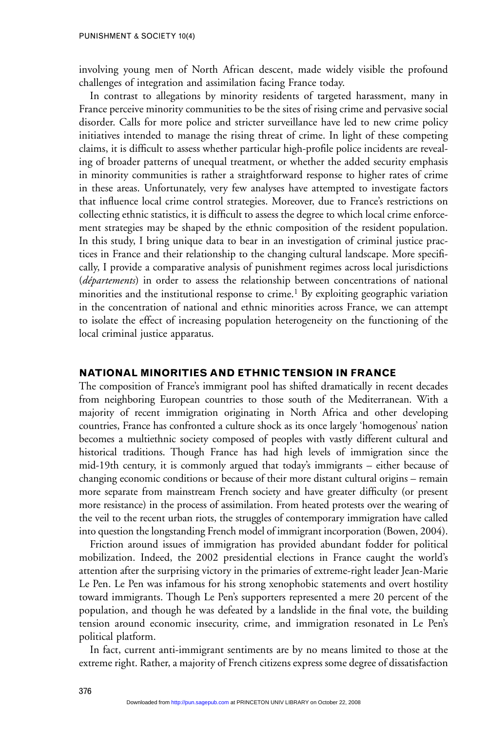involving young men of North African descent, made widely visible the profound challenges of integration and assimilation facing France today.

In contrast to allegations by minority residents of targeted harassment, many in France perceive minority communities to be the sites of rising crime and pervasive social disorder. Calls for more police and stricter surveillance have led to new crime policy initiatives intended to manage the rising threat of crime. In light of these competing claims, it is difficult to assess whether particular high-profile police incidents are revealing of broader patterns of unequal treatment, or whether the added security emphasis in minority communities is rather a straightforward response to higher rates of crime in these areas. Unfortunately, very few analyses have attempted to investigate factors that influence local crime control strategies. Moreover, due to France's restrictions on collecting ethnic statistics, it is difficult to assess the degree to which local crime enforcement strategies may be shaped by the ethnic composition of the resident population. In this study, I bring unique data to bear in an investigation of criminal justice practices in France and their relationship to the changing cultural landscape. More specifically, I provide a comparative analysis of punishment regimes across local jurisdictions (*départements*) in order to assess the relationship between concentrations of national minorities and the institutional response to crime.<sup>1</sup> By exploiting geographic variation in the concentration of national and ethnic minorities across France, we can attempt to isolate the effect of increasing population heterogeneity on the functioning of the local criminal justice apparatus.

# **NATIONAL MINORITIES AND ETHNIC TENSION IN FRANCE**

The composition of France's immigrant pool has shifted dramatically in recent decades from neighboring European countries to those south of the Mediterranean. With a majority of recent immigration originating in North Africa and other developing countries, France has confronted a culture shock as its once largely 'homogenous' nation becomes a multiethnic society composed of peoples with vastly different cultural and historical traditions. Though France has had high levels of immigration since the mid-19th century, it is commonly argued that today's immigrants – either because of changing economic conditions or because of their more distant cultural origins – remain more separate from mainstream French society and have greater difficulty (or present more resistance) in the process of assimilation. From heated protests over the wearing of the veil to the recent urban riots, the struggles of contemporary immigration have called into question the longstanding French model of immigrant incorporation (Bowen, 2004).

Friction around issues of immigration has provided abundant fodder for political mobilization. Indeed, the 2002 presidential elections in France caught the world's attention after the surprising victory in the primaries of extreme-right leader Jean-Marie Le Pen. Le Pen was infamous for his strong xenophobic statements and overt hostility toward immigrants. Though Le Pen's supporters represented a mere 20 percent of the population, and though he was defeated by a landslide in the final vote, the building tension around economic insecurity, crime, and immigration resonated in Le Pen's political platform.

In fact, current anti-immigrant sentiments are by no means limited to those at the extreme right. Rather, a majority of French citizens express some degree of dissatisfaction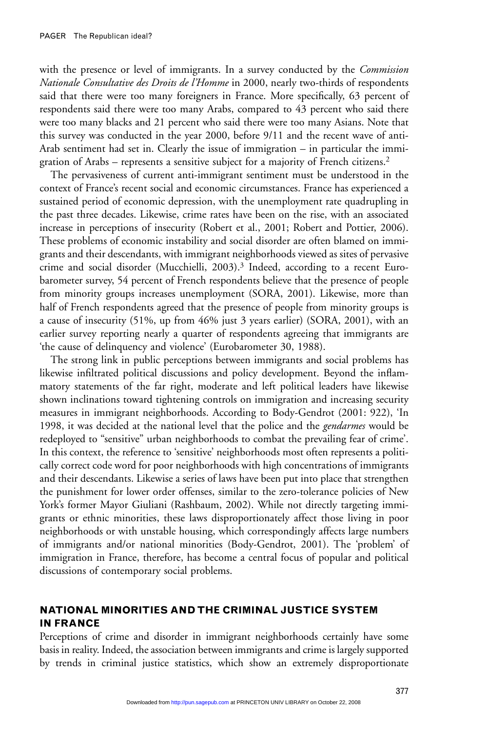with the presence or level of immigrants. In a survey conducted by the *Commission Nationale Consultative des Droits de l'Homme* in 2000, nearly two-thirds of respondents said that there were too many foreigners in France. More specifically, 63 percent of respondents said there were too many Arabs, compared to 43 percent who said there were too many blacks and 21 percent who said there were too many Asians. Note that this survey was conducted in the year 2000, before 9/11 and the recent wave of anti-Arab sentiment had set in. Clearly the issue of immigration – in particular the immigration of Arabs – represents a sensitive subject for a majority of French citizens.2

The pervasiveness of current anti-immigrant sentiment must be understood in the context of France's recent social and economic circumstances. France has experienced a sustained period of economic depression, with the unemployment rate quadrupling in the past three decades. Likewise, crime rates have been on the rise, with an associated increase in perceptions of insecurity (Robert et al., 2001; Robert and Pottier, 2006). These problems of economic instability and social disorder are often blamed on immigrants and their descendants, with immigrant neighborhoods viewed as sites of pervasive crime and social disorder (Mucchielli, 2003).<sup>3</sup> Indeed, according to a recent Eurobarometer survey, 54 percent of French respondents believe that the presence of people from minority groups increases unemployment (SORA, 2001). Likewise, more than half of French respondents agreed that the presence of people from minority groups is a cause of insecurity (51%, up from 46% just 3 years earlier) (SORA, 2001), with an earlier survey reporting nearly a quarter of respondents agreeing that immigrants are 'the cause of delinquency and violence' (Eurobarometer 30, 1988).

The strong link in public perceptions between immigrants and social problems has likewise infiltrated political discussions and policy development. Beyond the inflammatory statements of the far right, moderate and left political leaders have likewise shown inclinations toward tightening controls on immigration and increasing security measures in immigrant neighborhoods. According to Body-Gendrot (2001: 922), 'In 1998, it was decided at the national level that the police and the *gendarmes* would be redeployed to "sensitive" urban neighborhoods to combat the prevailing fear of crime'. In this context, the reference to 'sensitive' neighborhoods most often represents a politically correct code word for poor neighborhoods with high concentrations of immigrants and their descendants. Likewise a series of laws have been put into place that strengthen the punishment for lower order offenses, similar to the zero-tolerance policies of New York's former Mayor Giuliani (Rashbaum, 2002). While not directly targeting immigrants or ethnic minorities, these laws disproportionately affect those living in poor neighborhoods or with unstable housing, which correspondingly affects large numbers of immigrants and/or national minorities (Body-Gendrot, 2001). The 'problem' of immigration in France, therefore, has become a central focus of popular and political discussions of contemporary social problems.

# **NATIONAL MINORITIES AND THE CRIMINAL JUSTICE SYSTEM IN FRANCE**

Perceptions of crime and disorder in immigrant neighborhoods certainly have some basis in reality. Indeed, the association between immigrants and crime is largely supported by trends in criminal justice statistics, which show an extremely disproportionate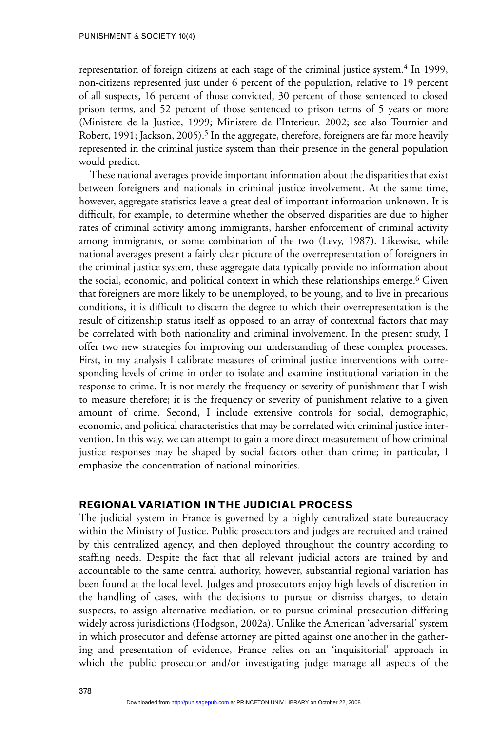representation of foreign citizens at each stage of the criminal justice system. $4 \text{ In } 1999$ , non-citizens represented just under 6 percent of the population, relative to 19 percent of all suspects, 16 percent of those convicted, 30 percent of those sentenced to closed prison terms, and 52 percent of those sentenced to prison terms of 5 years or more (Ministere de la Justice, 1999; Ministere de l'Interieur, 2002; see also Tournier and Robert, 1991; Jackson, 2005).<sup>5</sup> In the aggregate, therefore, foreigners are far more heavily represented in the criminal justice system than their presence in the general population would predict.

These national averages provide important information about the disparities that exist between foreigners and nationals in criminal justice involvement. At the same time, however, aggregate statistics leave a great deal of important information unknown. It is difficult, for example, to determine whether the observed disparities are due to higher rates of criminal activity among immigrants, harsher enforcement of criminal activity among immigrants, or some combination of the two (Levy, 1987). Likewise, while national averages present a fairly clear picture of the overrepresentation of foreigners in the criminal justice system, these aggregate data typically provide no information about the social, economic, and political context in which these relationships emerge.<sup>6</sup> Given that foreigners are more likely to be unemployed, to be young, and to live in precarious conditions, it is difficult to discern the degree to which their overrepresentation is the result of citizenship status itself as opposed to an array of contextual factors that may be correlated with both nationality and criminal involvement. In the present study, I offer two new strategies for improving our understanding of these complex processes. First, in my analysis I calibrate measures of criminal justice interventions with corresponding levels of crime in order to isolate and examine institutional variation in the response to crime. It is not merely the frequency or severity of punishment that I wish to measure therefore; it is the frequency or severity of punishment relative to a given amount of crime. Second, I include extensive controls for social, demographic, economic, and political characteristics that may be correlated with criminal justice intervention. In this way, we can attempt to gain a more direct measurement of how criminal justice responses may be shaped by social factors other than crime; in particular, I emphasize the concentration of national minorities.

### **REGIONAL VARIATION IN THE JUDICIAL PROCESS**

The judicial system in France is governed by a highly centralized state bureaucracy within the Ministry of Justice. Public prosecutors and judges are recruited and trained by this centralized agency, and then deployed throughout the country according to staffing needs. Despite the fact that all relevant judicial actors are trained by and accountable to the same central authority, however, substantial regional variation has been found at the local level. Judges and prosecutors enjoy high levels of discretion in the handling of cases, with the decisions to pursue or dismiss charges, to detain suspects, to assign alternative mediation, or to pursue criminal prosecution differing widely across jurisdictions (Hodgson, 2002a). Unlike the American 'adversarial' system in which prosecutor and defense attorney are pitted against one another in the gathering and presentation of evidence, France relies on an 'inquisitorial' approach in which the public prosecutor and/or investigating judge manage all aspects of the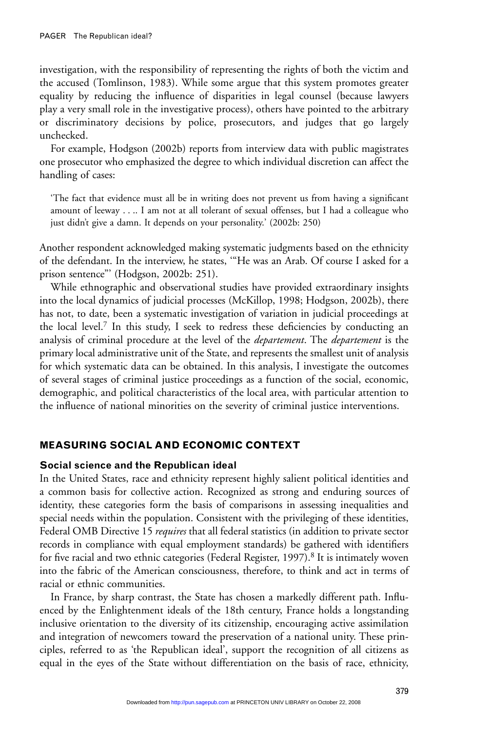investigation, with the responsibility of representing the rights of both the victim and the accused (Tomlinson, 1983). While some argue that this system promotes greater equality by reducing the influence of disparities in legal counsel (because lawyers play a very small role in the investigative process), others have pointed to the arbitrary or discriminatory decisions by police, prosecutors, and judges that go largely unchecked.

For example, Hodgson (2002b) reports from interview data with public magistrates one prosecutor who emphasized the degree to which individual discretion can affect the handling of cases:

'The fact that evidence must all be in writing does not prevent us from having a significant amount of leeway . . .. I am not at all tolerant of sexual offenses, but I had a colleague who just didn't give a damn. It depends on your personality.' (2002b: 250)

Another respondent acknowledged making systematic judgments based on the ethnicity of the defendant. In the interview, he states, '"He was an Arab. Of course I asked for a prison sentence"' (Hodgson, 2002b: 251).

While ethnographic and observational studies have provided extraordinary insights into the local dynamics of judicial processes (McKillop, 1998; Hodgson, 2002b), there has not, to date, been a systematic investigation of variation in judicial proceedings at the local level.7 In this study, I seek to redress these deficiencies by conducting an analysis of criminal procedure at the level of the *departement*. The *departement* is the primary local administrative unit of the State, and represents the smallest unit of analysis for which systematic data can be obtained. In this analysis, I investigate the outcomes of several stages of criminal justice proceedings as a function of the social, economic, demographic, and political characteristics of the local area, with particular attention to the influence of national minorities on the severity of criminal justice interventions.

# **MEASURING SOCIAL AND ECONOMIC CONTEXT**

## **Social science and the Republican ideal**

In the United States, race and ethnicity represent highly salient political identities and a common basis for collective action. Recognized as strong and enduring sources of identity, these categories form the basis of comparisons in assessing inequalities and special needs within the population. Consistent with the privileging of these identities, Federal OMB Directive 15 *requires* that all federal statistics (in addition to private sector records in compliance with equal employment standards) be gathered with identifiers for five racial and two ethnic categories (Federal Register, 1997).<sup>8</sup> It is intimately woven into the fabric of the American consciousness, therefore, to think and act in terms of racial or ethnic communities.

In France, by sharp contrast, the State has chosen a markedly different path. Influenced by the Enlightenment ideals of the 18th century, France holds a longstanding inclusive orientation to the diversity of its citizenship, encouraging active assimilation and integration of newcomers toward the preservation of a national unity. These principles, referred to as 'the Republican ideal', support the recognition of all citizens as equal in the eyes of the State without differentiation on the basis of race, ethnicity,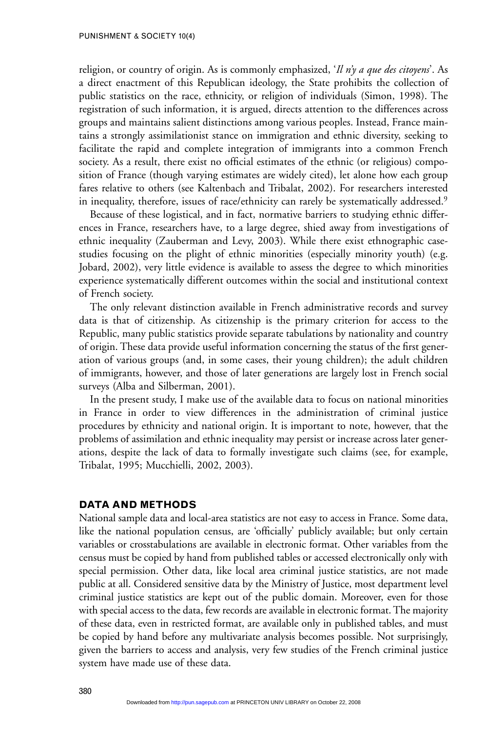religion, or country of origin. As is commonly emphasized, '*Il n'y a que des citoyens*'. As a direct enactment of this Republican ideology, the State prohibits the collection of public statistics on the race, ethnicity, or religion of individuals (Simon, 1998). The registration of such information, it is argued, directs attention to the differences across groups and maintains salient distinctions among various peoples. Instead, France maintains a strongly assimilationist stance on immigration and ethnic diversity, seeking to facilitate the rapid and complete integration of immigrants into a common French society. As a result, there exist no official estimates of the ethnic (or religious) composition of France (though varying estimates are widely cited), let alone how each group fares relative to others (see Kaltenbach and Tribalat, 2002). For researchers interested in inequality, therefore, issues of race/ethnicity can rarely be systematically addressed.<sup>9</sup>

Because of these logistical, and in fact, normative barriers to studying ethnic differences in France, researchers have, to a large degree, shied away from investigations of ethnic inequality (Zauberman and Levy, 2003). While there exist ethnographic casestudies focusing on the plight of ethnic minorities (especially minority youth) (e.g. Jobard, 2002), very little evidence is available to assess the degree to which minorities experience systematically different outcomes within the social and institutional context of French society.

The only relevant distinction available in French administrative records and survey data is that of citizenship. As citizenship is the primary criterion for access to the Republic, many public statistics provide separate tabulations by nationality and country of origin. These data provide useful information concerning the status of the first generation of various groups (and, in some cases, their young children); the adult children of immigrants, however, and those of later generations are largely lost in French social surveys (Alba and Silberman, 2001).

In the present study, I make use of the available data to focus on national minorities in France in order to view differences in the administration of criminal justice procedures by ethnicity and national origin. It is important to note, however, that the problems of assimilation and ethnic inequality may persist or increase across later generations, despite the lack of data to formally investigate such claims (see, for example, Tribalat, 1995; Mucchielli, 2002, 2003).

## **DATA AND METHODS**

National sample data and local-area statistics are not easy to access in France. Some data, like the national population census, are 'officially' publicly available; but only certain variables or crosstabulations are available in electronic format. Other variables from the census must be copied by hand from published tables or accessed electronically only with special permission. Other data, like local area criminal justice statistics, are not made public at all. Considered sensitive data by the Ministry of Justice, most department level criminal justice statistics are kept out of the public domain. Moreover, even for those with special access to the data, few records are available in electronic format. The majority of these data, even in restricted format, are available only in published tables, and must be copied by hand before any multivariate analysis becomes possible. Not surprisingly, given the barriers to access and analysis, very few studies of the French criminal justice system have made use of these data.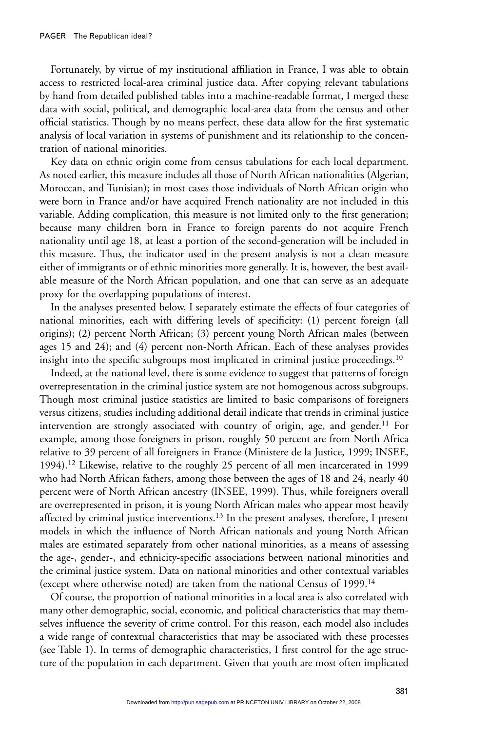Fortunately, by virtue of my institutional affiliation in France, I was able to obtain access to restricted local-area criminal justice data. After copying relevant tabulations by hand from detailed published tables into a machine-readable format, I merged these data with social, political, and demographic local-area data from the census and other official statistics. Though by no means perfect, these data allow for the first systematic analysis of local variation in systems of punishment and its relationship to the concentration of national minorities.

Key data on ethnic origin come from census tabulations for each local department. As noted earlier, this measure includes all those of North African nationalities (Algerian, Moroccan, and Tunisian); in most cases those individuals of North African origin who were born in France and/or have acquired French nationality are not included in this variable. Adding complication, this measure is not limited only to the first generation; because many children born in France to foreign parents do not acquire French nationality until age 18, at least a portion of the second-generation will be included in this measure. Thus, the indicator used in the present analysis is not a clean measure either of immigrants or of ethnic minorities more generally. It is, however, the best available measure of the North African population, and one that can serve as an adequate proxy for the overlapping populations of interest.

In the analyses presented below, I separately estimate the effects of four categories of national minorities, each with differing levels of specificity: (1) percent foreign (all origins); (2) percent North African; (3) percent young North African males (between ages 15 and 24); and (4) percent non-North African. Each of these analyses provides insight into the specific subgroups most implicated in criminal justice proceedings.<sup>10</sup>

Indeed, at the national level, there is some evidence to suggest that patterns of foreign overrepresentation in the criminal justice system are not homogenous across subgroups. Though most criminal justice statistics are limited to basic comparisons of foreigners versus citizens, studies including additional detail indicate that trends in criminal justice intervention are strongly associated with country of origin, age, and gender.<sup>11</sup> For example, among those foreigners in prison, roughly 50 percent are from North Africa relative to 39 percent of all foreigners in France (Ministere de la Justice, 1999; INSEE, 1994).12 Likewise, relative to the roughly 25 percent of all men incarcerated in 1999 who had North African fathers, among those between the ages of 18 and 24, nearly 40 percent were of North African ancestry (INSEE, 1999). Thus, while foreigners overall are overrepresented in prison, it is young North African males who appear most heavily affected by criminal justice interventions.13 In the present analyses, therefore, I present models in which the influence of North African nationals and young North African males are estimated separately from other national minorities, as a means of assessing the age-, gender-, and ethnicity-specific associations between national minorities and the criminal justice system. Data on national minorities and other contextual variables (except where otherwise noted) are taken from the national Census of 1999.14

Of course, the proportion of national minorities in a local area is also correlated with many other demographic, social, economic, and political characteristics that may themselves influence the severity of crime control. For this reason, each model also includes a wide range of contextual characteristics that may be associated with these processes (see Table 1). In terms of demographic characteristics, I first control for the age structure of the population in each department. Given that youth are most often implicated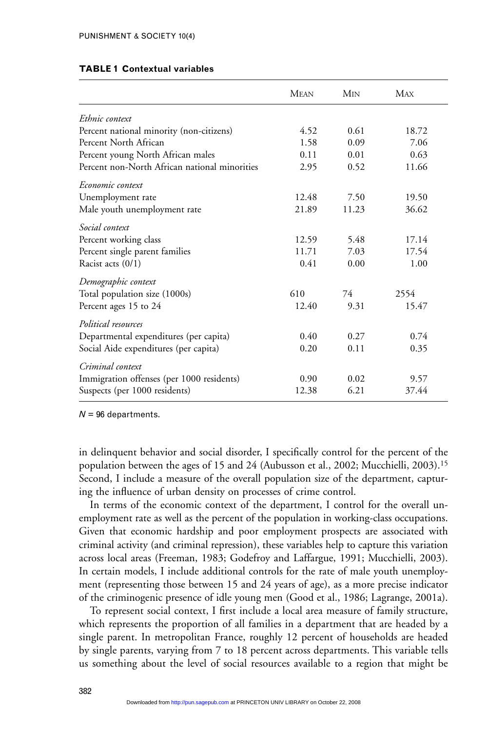|                                               | <b>MEAN</b> | M <sub>IN</sub> | MAX   |
|-----------------------------------------------|-------------|-----------------|-------|
| Ethnic context                                |             |                 |       |
| Percent national minority (non-citizens)      | 4.52        | 0.61            | 18.72 |
| Percent North African                         | 1.58        | 0.09            | 7.06  |
| Percent young North African males             | 0.11        | 0.01            | 0.63  |
| Percent non-North African national minorities | 2.95        | 0.52            | 11.66 |
| Economic context                              |             |                 |       |
| Unemployment rate                             | 12.48       | 7.50            | 19.50 |
| Male youth unemployment rate                  | 21.89       | 11.23           | 36.62 |
| Social context                                |             |                 |       |
| Percent working class                         | 12.59       | 5.48            | 17.14 |
| Percent single parent families                | 11.71       | 7.03            | 17.54 |
| Racist acts $(0/1)$                           | 0.41        | 0.00            | 1.00  |
| Demographic context                           |             |                 |       |
| Total population size (1000s)                 | 610         | 74              | 2554  |
| Percent ages 15 to 24                         | 12.40       | 9.31            | 15.47 |
| Political resources                           |             |                 |       |
| Departmental expenditures (per capita)        | 0.40        | 0.27            | 0.74  |
| Social Aide expenditures (per capita)         | 0.20        | 0.11            | 0.35  |
| Criminal context                              |             |                 |       |
| Immigration offenses (per 1000 residents)     | 0.90        | 0.02            | 9.57  |
| Suspects (per 1000 residents)                 | 12.38       | 6.21            | 37.44 |
|                                               |             |                 |       |

#### **TABLE 1 Contextual variables**

*N* = 96 departments.

in delinquent behavior and social disorder, I specifically control for the percent of the population between the ages of 15 and 24 (Aubusson et al., 2002; Mucchielli, 2003).15 Second, I include a measure of the overall population size of the department, capturing the influence of urban density on processes of crime control.

In terms of the economic context of the department, I control for the overall unemployment rate as well as the percent of the population in working-class occupations. Given that economic hardship and poor employment prospects are associated with criminal activity (and criminal repression), these variables help to capture this variation across local areas (Freeman, 1983; Godefroy and Laffargue, 1991; Mucchielli, 2003). In certain models, I include additional controls for the rate of male youth unemployment (representing those between 15 and 24 years of age), as a more precise indicator of the criminogenic presence of idle young men (Good et al., 1986; Lagrange, 2001a).

To represent social context, I first include a local area measure of family structure, which represents the proportion of all families in a department that are headed by a single parent. In metropolitan France, roughly 12 percent of households are headed by single parents, varying from 7 to 18 percent across departments. This variable tells us something about the level of social resources available to a region that might be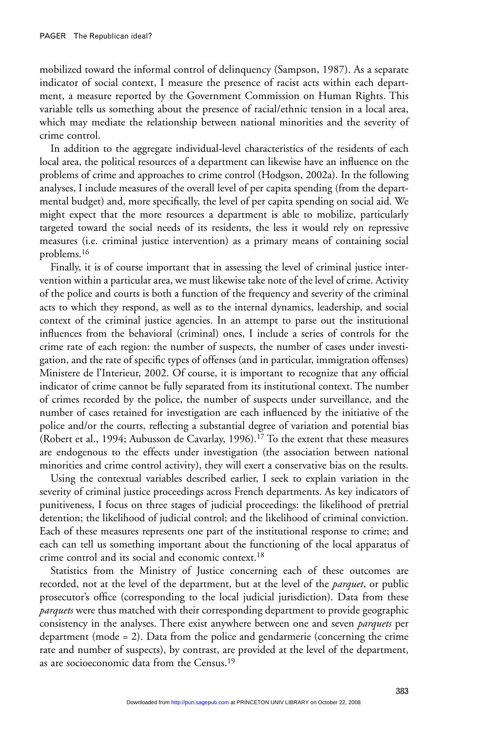mobilized toward the informal control of delinquency (Sampson, 1987). As a separate indicator of social context, I measure the presence of racist acts within each department, a measure reported by the Government Commission on Human Rights. This variable tells us something about the presence of racial/ethnic tension in a local area, which may mediate the relationship between national minorities and the severity of crime control.

In addition to the aggregate individual-level characteristics of the residents of each local area, the political resources of a department can likewise have an influence on the problems of crime and approaches to crime control (Hodgson, 2002a). In the following analyses, I include measures of the overall level of per capita spending (from the departmental budget) and, more specifically, the level of per capita spending on social aid. We might expect that the more resources a department is able to mobilize, particularly targeted toward the social needs of its residents, the less it would rely on repressive measures (i.e. criminal justice intervention) as a primary means of containing social problems.16

Finally, it is of course important that in assessing the level of criminal justice intervention within a particular area, we must likewise take note of the level of crime. Activity of the police and courts is both a function of the frequency and severity of the criminal acts to which they respond, as well as to the internal dynamics, leadership, and social context of the criminal justice agencies. In an attempt to parse out the institutional influences from the behavioral (criminal) ones, I include a series of controls for the crime rate of each region: the number of suspects, the number of cases under investigation, and the rate of specific types of offenses (and in particular, immigration offenses) Ministere de l'Interieur, 2002. Of course, it is important to recognize that any official indicator of crime cannot be fully separated from its institutional context. The number of crimes recorded by the police, the number of suspects under surveillance, and the number of cases retained for investigation are each influenced by the initiative of the police and/or the courts, reflecting a substantial degree of variation and potential bias (Robert et al., 1994; Aubusson de Cavarlay, 1996).<sup>17</sup> To the extent that these measures are endogenous to the effects under investigation (the association between national minorities and crime control activity), they will exert a conservative bias on the results.

Using the contextual variables described earlier, I seek to explain variation in the severity of criminal justice proceedings across French departments. As key indicators of punitiveness, I focus on three stages of judicial proceedings: the likelihood of pretrial detention; the likelihood of judicial control; and the likelihood of criminal conviction. Each of these measures represents one part of the institutional response to crime; and each can tell us something important about the functioning of the local apparatus of crime control and its social and economic context.18

Statistics from the Ministry of Justice concerning each of these outcomes are recorded, not at the level of the department, but at the level of the *parquet*, or public prosecutor's office (corresponding to the local judicial jurisdiction). Data from these *parquets* were thus matched with their corresponding department to provide geographic consistency in the analyses. There exist anywhere between one and seven *parquets* per department (mode = 2). Data from the police and gendarmerie (concerning the crime rate and number of suspects), by contrast, are provided at the level of the department, as are socioeconomic data from the Census.19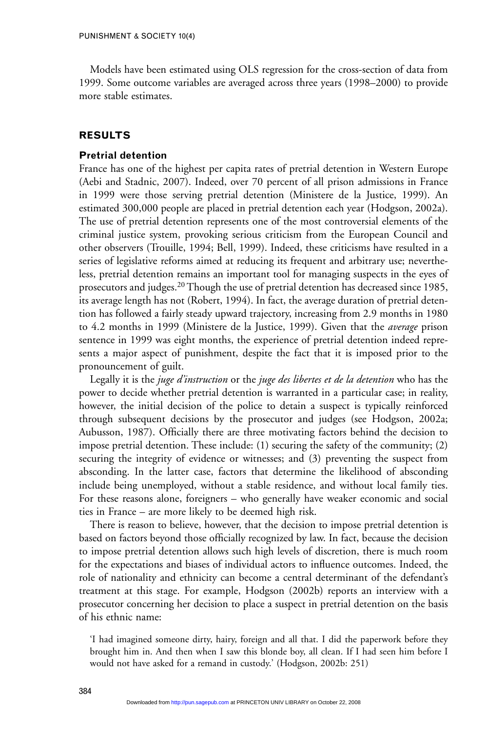Models have been estimated using OLS regression for the cross-section of data from 1999. Some outcome variables are averaged across three years (1998–2000) to provide more stable estimates.

# **RESULTS**

## **Pretrial detention**

France has one of the highest per capita rates of pretrial detention in Western Europe (Aebi and Stadnic, 2007). Indeed, over 70 percent of all prison admissions in France in 1999 were those serving pretrial detention (Ministere de la Justice, 1999). An estimated 300,000 people are placed in pretrial detention each year (Hodgson, 2002a). The use of pretrial detention represents one of the most controversial elements of the criminal justice system, provoking serious criticism from the European Council and other observers (Trouille, 1994; Bell, 1999). Indeed, these criticisms have resulted in a series of legislative reforms aimed at reducing its frequent and arbitrary use; nevertheless, pretrial detention remains an important tool for managing suspects in the eyes of prosecutors and judges.20 Though the use of pretrial detention has decreased since 1985, its average length has not (Robert, 1994). In fact, the average duration of pretrial detention has followed a fairly steady upward trajectory, increasing from 2.9 months in 1980 to 4.2 months in 1999 (Ministere de la Justice, 1999). Given that the *average* prison sentence in 1999 was eight months, the experience of pretrial detention indeed represents a major aspect of punishment, despite the fact that it is imposed prior to the pronouncement of guilt.

Legally it is the *juge d'instruction* or the *juge des libertes et de la detention* who has the power to decide whether pretrial detention is warranted in a particular case; in reality, however, the initial decision of the police to detain a suspect is typically reinforced through subsequent decisions by the prosecutor and judges (see Hodgson, 2002a; Aubusson, 1987). Officially there are three motivating factors behind the decision to impose pretrial detention. These include: (1) securing the safety of the community; (2) securing the integrity of evidence or witnesses; and (3) preventing the suspect from absconding. In the latter case, factors that determine the likelihood of absconding include being unemployed, without a stable residence, and without local family ties. For these reasons alone, foreigners – who generally have weaker economic and social ties in France – are more likely to be deemed high risk.

There is reason to believe, however, that the decision to impose pretrial detention is based on factors beyond those officially recognized by law. In fact, because the decision to impose pretrial detention allows such high levels of discretion, there is much room for the expectations and biases of individual actors to influence outcomes. Indeed, the role of nationality and ethnicity can become a central determinant of the defendant's treatment at this stage. For example, Hodgson (2002b) reports an interview with a prosecutor concerning her decision to place a suspect in pretrial detention on the basis of his ethnic name:

'I had imagined someone dirty, hairy, foreign and all that. I did the paperwork before they brought him in. And then when I saw this blonde boy, all clean. If I had seen him before I would not have asked for a remand in custody.' (Hodgson, 2002b: 251)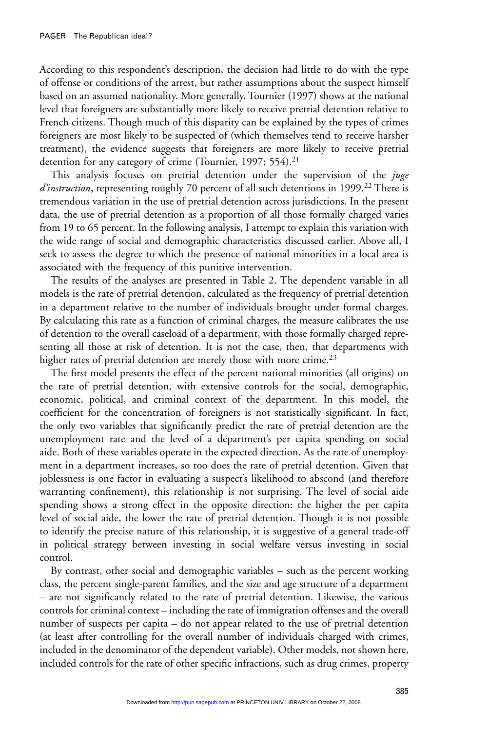According to this respondent's description, the decision had little to do with the type of offense or conditions of the arrest, but rather assumptions about the suspect himself based on an assumed nationality. More generally, Tournier (1997) shows at the national level that foreigners are substantially more likely to receive pretrial detention relative to French citizens. Though much of this disparity can be explained by the types of crimes foreigners are most likely to be suspected of (which themselves tend to receive harsher treatment), the evidence suggests that foreigners are more likely to receive pretrial detention for any category of crime (Tournier, 1997: 554).<sup>21</sup>

This analysis focuses on pretrial detention under the supervision of the *juge* d'instruction, representing roughly 70 percent of all such detentions in 1999.<sup>22</sup> There is tremendous variation in the use of pretrial detention across jurisdictions. In the present data, the use of pretrial detention as a proportion of all those formally charged varies from 19 to 65 percent. In the following analysis, I attempt to explain this variation with the wide range of social and demographic characteristics discussed earlier. Above all, I seek to assess the degree to which the presence of national minorities in a local area is associated with the frequency of this punitive intervention.

The results of the analyses are presented in Table 2. The dependent variable in all models is the rate of pretrial detention, calculated as the frequency of pretrial detention in a department relative to the number of individuals brought under formal charges. By calculating this rate as a function of criminal charges, the measure calibrates the use of detention to the overall caseload of a department, with those formally charged representing all those at risk of detention. It is not the case, then, that departments with higher rates of pretrial detention are merely those with more crime.<sup>23</sup>

The first model presents the effect of the percent national minorities (all origins) on the rate of pretrial detention, with extensive controls for the social, demographic, economic, political, and criminal context of the department. In this model, the coefficient for the concentration of foreigners is not statistically significant. In fact, the only two variables that significantly predict the rate of pretrial detention are the unemployment rate and the level of a department's per capita spending on social aide. Both of these variables operate in the expected direction. As the rate of unemployment in a department increases, so too does the rate of pretrial detention. Given that joblessness is one factor in evaluating a suspect's likelihood to abscond (and therefore warranting confinement), this relationship is not surprising. The level of social aide spending shows a strong effect in the opposite direction: the higher the per capita level of social aide, the lower the rate of pretrial detention. Though it is not possible to identify the precise nature of this relationship, it is suggestive of a general trade-off in political strategy between investing in social welfare versus investing in social control.

By contrast, other social and demographic variables – such as the percent working class, the percent single-parent families, and the size and age structure of a department – are not significantly related to the rate of pretrial detention. Likewise, the various controls for criminal context – including the rate of immigration offenses and the overall number of suspects per capita – do not appear related to the use of pretrial detention (at least after controlling for the overall number of individuals charged with crimes, included in the denominator of the dependent variable). Other models, not shown here, included controls for the rate of other specific infractions, such as drug crimes, property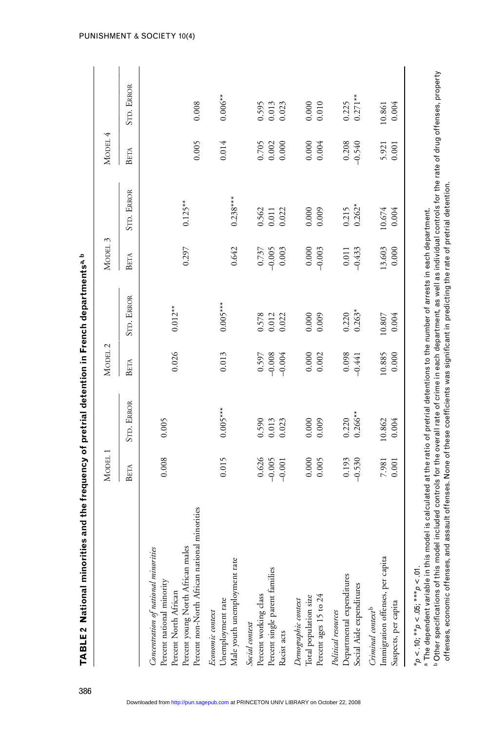|                                                                                                                                                                                  | MODEL 1                          |                                                        | MODEL <sub>2</sub>        |                         | MODEL <sub>3</sub>         |                         | MODEL 4                 |                         |
|----------------------------------------------------------------------------------------------------------------------------------------------------------------------------------|----------------------------------|--------------------------------------------------------|---------------------------|-------------------------|----------------------------|-------------------------|-------------------------|-------------------------|
|                                                                                                                                                                                  | <b>BETA</b>                      | STD. ERROR                                             | <b>BETA</b>               | STD. ERROR              | <b>BETA</b>                | STD. ERROR              | <b>BETA</b>             | STD. ERROR              |
| Percent non-North African national minorities<br>Percent young North African males<br>Concentration of national minorities<br>Percent national minority<br>Percent North African | 0.008                            | 0.005                                                  | 0.026                     | $0.012***$              | 0.297                      | $0.125***$              | 0.005                   | 0.008                   |
| Male youth unemployment rate<br>Unemployment rate<br>Economic context                                                                                                            | 0.015                            | $0.005***$                                             | 0.013                     | $0.005***$              | 0.642                      | $0.238***$              | 0.014                   | $0.006***$              |
| Percent single parent families<br>Percent working class<br>Social context<br>Racist acts                                                                                         | $-0.626$<br>$-0.005$<br>$-0.001$ | $\begin{array}{c} 0.590 \\ 0.013 \\ 0.023 \end{array}$ | $0.597$<br>0.008<br>0.004 | 0.578<br>0.012<br>0.022 | $0.737$<br>-0.005<br>0.003 | 0.562<br>0.011<br>0.022 | 0.705<br>0.002<br>0.000 | 0.595<br>0.013<br>0.023 |
| Percent ages 15 to 24<br>Demographic context<br>Total population size                                                                                                            | 0.000<br>0.005                   | 0.000<br>0.009                                         | $0.000$<br>$0.002$        | 0.000<br>0.009          | 0.000<br>$-0.003$          | 0.000<br>0.009          | 0.000<br>0.004          | 0.000<br>0.010          |
| Departmental expenditures<br>Social Aide expenditures<br>Political resources                                                                                                     | 0.193<br>$-0.530$                | $0.266***$<br>0.220                                    | 0.098<br>$-0.441$         | $0.263*$<br>0.220       | $-0.433$<br>0.011          | $0.262*$<br>0.215       | $0.208$<br>$-0.540$     | $0.271***$<br>0.225     |
| Immigration offenses, per capita<br>Suspects, per capita<br>Criminal context <sup>b</sup>                                                                                        | 7.981<br>0.001                   | 10.862<br>0.004                                        | 10.885<br>0.000           | $10.807$<br>0.004       | 13.603<br>0.000            | 10.674<br>0.004         | 5.921<br>0.001          | 10.861<br>0.004         |

TABLE 2 National minorities and the frequency of pretrial detention in French departments<sup>a, b</sup> 386**TABLE 2 National minorities and the frequency of pretrial detention in French departmentsa, b**

<sup>a</sup> The dependent variable in this model is calculated at the ratio of pretrial detentions to the number of arrests in each department.<br><sup>h</sup> Other specifications of this model included controls for the overall rate of crime a The dependent variable in this model is calculated at the ratio of pretrial detentions to the number of arrests in each department.

<sup>b</sup> Other specifications of this model included controls for the overall rate of crime in each department, as well as individual controls for the rate of drug offenses, property offenses, economic offenses, and assault offenses. None of these coefficients was significant in predicting the rate of pretrial detention. offenses, economic offenses, and assault offenses. None of these coefficients was significant in predicting the rate of pretrial detention.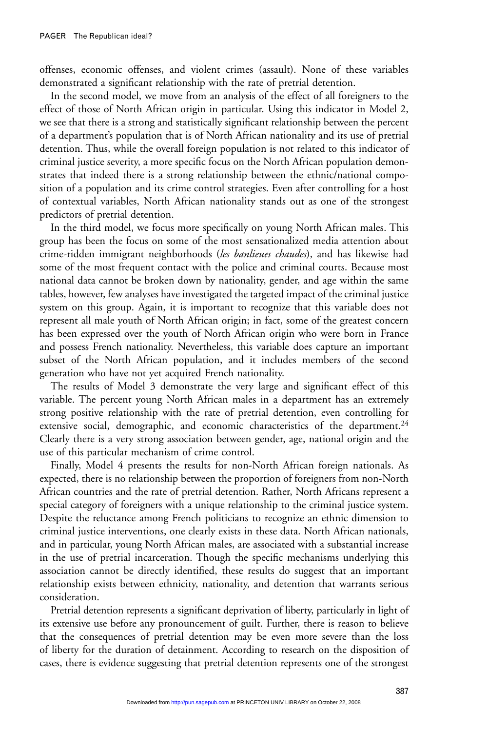offenses, economic offenses, and violent crimes (assault). None of these variables demonstrated a significant relationship with the rate of pretrial detention.

In the second model, we move from an analysis of the effect of all foreigners to the effect of those of North African origin in particular. Using this indicator in Model 2, we see that there is a strong and statistically significant relationship between the percent of a department's population that is of North African nationality and its use of pretrial detention. Thus, while the overall foreign population is not related to this indicator of criminal justice severity, a more specific focus on the North African population demonstrates that indeed there is a strong relationship between the ethnic/national composition of a population and its crime control strategies. Even after controlling for a host of contextual variables, North African nationality stands out as one of the strongest predictors of pretrial detention.

In the third model, we focus more specifically on young North African males. This group has been the focus on some of the most sensationalized media attention about crime-ridden immigrant neighborhoods (*les banlieues chaudes*), and has likewise had some of the most frequent contact with the police and criminal courts. Because most national data cannot be broken down by nationality, gender, and age within the same tables, however, few analyses have investigated the targeted impact of the criminal justice system on this group. Again, it is important to recognize that this variable does not represent all male youth of North African origin; in fact, some of the greatest concern has been expressed over the youth of North African origin who were born in France and possess French nationality. Nevertheless, this variable does capture an important subset of the North African population, and it includes members of the second generation who have not yet acquired French nationality.

The results of Model 3 demonstrate the very large and significant effect of this variable. The percent young North African males in a department has an extremely strong positive relationship with the rate of pretrial detention, even controlling for extensive social, demographic, and economic characteristics of the department.<sup>24</sup> Clearly there is a very strong association between gender, age, national origin and the use of this particular mechanism of crime control.

Finally, Model 4 presents the results for non-North African foreign nationals. As expected, there is no relationship between the proportion of foreigners from non-North African countries and the rate of pretrial detention. Rather, North Africans represent a special category of foreigners with a unique relationship to the criminal justice system. Despite the reluctance among French politicians to recognize an ethnic dimension to criminal justice interventions, one clearly exists in these data. North African nationals, and in particular, young North African males, are associated with a substantial increase in the use of pretrial incarceration. Though the specific mechanisms underlying this association cannot be directly identified, these results do suggest that an important relationship exists between ethnicity, nationality, and detention that warrants serious consideration.

Pretrial detention represents a significant deprivation of liberty, particularly in light of its extensive use before any pronouncement of guilt. Further, there is reason to believe that the consequences of pretrial detention may be even more severe than the loss of liberty for the duration of detainment. According to research on the disposition of cases, there is evidence suggesting that pretrial detention represents one of the strongest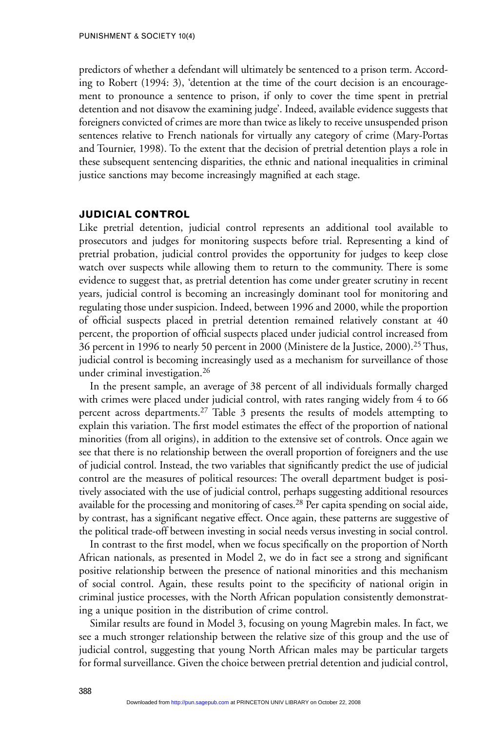predictors of whether a defendant will ultimately be sentenced to a prison term. According to Robert (1994: 3), 'detention at the time of the court decision is an encouragement to pronounce a sentence to prison, if only to cover the time spent in pretrial detention and not disavow the examining judge'. Indeed, available evidence suggests that foreigners convicted of crimes are more than twice as likely to receive unsuspended prison sentences relative to French nationals for virtually any category of crime (Mary-Portas and Tournier, 1998). To the extent that the decision of pretrial detention plays a role in these subsequent sentencing disparities, the ethnic and national inequalities in criminal justice sanctions may become increasingly magnified at each stage.

## **JUDICIAL CONTROL**

Like pretrial detention, judicial control represents an additional tool available to prosecutors and judges for monitoring suspects before trial. Representing a kind of pretrial probation, judicial control provides the opportunity for judges to keep close watch over suspects while allowing them to return to the community. There is some evidence to suggest that, as pretrial detention has come under greater scrutiny in recent years, judicial control is becoming an increasingly dominant tool for monitoring and regulating those under suspicion. Indeed, between 1996 and 2000, while the proportion of official suspects placed in pretrial detention remained relatively constant at 40 percent, the proportion of official suspects placed under judicial control increased from 36 percent in 1996 to nearly 50 percent in 2000 (Ministere de la Justice, 2000).25 Thus, judicial control is becoming increasingly used as a mechanism for surveillance of those under criminal investigation.26

In the present sample, an average of 38 percent of all individuals formally charged with crimes were placed under judicial control, with rates ranging widely from 4 to 66 percent across departments.27 Table 3 presents the results of models attempting to explain this variation. The first model estimates the effect of the proportion of national minorities (from all origins), in addition to the extensive set of controls. Once again we see that there is no relationship between the overall proportion of foreigners and the use of judicial control. Instead, the two variables that significantly predict the use of judicial control are the measures of political resources: The overall department budget is positively associated with the use of judicial control, perhaps suggesting additional resources available for the processing and monitoring of cases.28 Per capita spending on social aide, by contrast, has a significant negative effect. Once again, these patterns are suggestive of the political trade-off between investing in social needs versus investing in social control.

In contrast to the first model, when we focus specifically on the proportion of North African nationals, as presented in Model 2, we do in fact see a strong and significant positive relationship between the presence of national minorities and this mechanism of social control. Again, these results point to the specificity of national origin in criminal justice processes, with the North African population consistently demonstrating a unique position in the distribution of crime control.

Similar results are found in Model 3, focusing on young Magrebin males. In fact, we see a much stronger relationship between the relative size of this group and the use of judicial control, suggesting that young North African males may be particular targets for formal surveillance. Given the choice between pretrial detention and judicial control,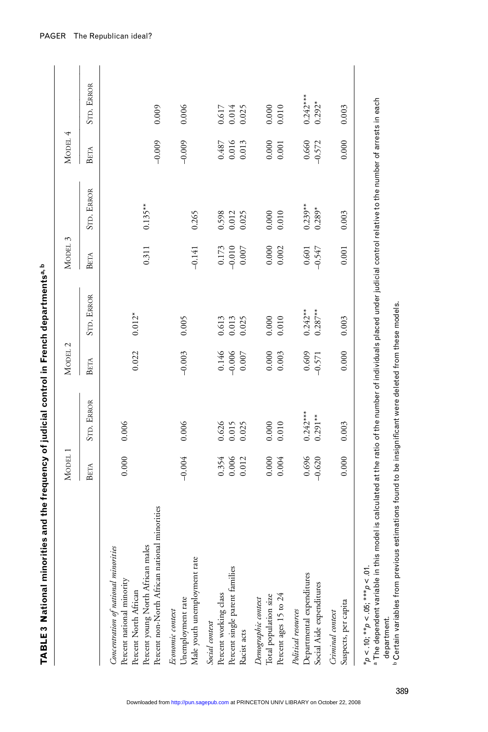|                                                                                                                                                                                  | MODEL 1                   |                         | MODEL <sub>2</sub>           |                                                        | MODEL <sub>3</sub>             |                         | Model 4                   |                               |
|----------------------------------------------------------------------------------------------------------------------------------------------------------------------------------|---------------------------|-------------------------|------------------------------|--------------------------------------------------------|--------------------------------|-------------------------|---------------------------|-------------------------------|
|                                                                                                                                                                                  | <b>BETA</b>               | STD. ERROR              | <b>BETA</b>                  | STD. ERROR                                             | <b>BETA</b>                    | STD. ERROR              | <b>BETA</b>               | STD. ERROR                    |
| Percent non-North African national minorities<br>Percent young North African males<br>Concentration of national minorities<br>Percent national minority<br>Percent North African | 0.000                     | 0.006                   | 0.022                        | $0.012*$                                               | 0.311                          | $0.135***$              | $-0.009$                  | 0.009                         |
| Unemployment rate<br>Male youth unemployment rate<br>Economic context                                                                                                            | $-0.004$                  | 0.006                   | $-0.003$                     | 0.005                                                  | $-0.141$                       | 0.265                   | $-0.009$                  | 0.006                         |
| Percent single parent families<br>Percent working class<br>Social context<br>Racist acts                                                                                         | $0.354$<br>0.006<br>0.012 | 0.626<br>0.015<br>0.025 | $0.146$<br>-0.006<br>$0.007$ | $\begin{array}{c} 0.613 \\ 0.013 \\ 0.025 \end{array}$ | $0.173$<br>-0.010<br>$0.007\,$ | 0.598<br>0.012<br>0.025 | $0.487$<br>0.016<br>0.013 | $0.617$<br>$0.014$<br>$0.025$ |
| Demographic context<br>Total population size<br>Percent ages 15 to 24                                                                                                            | $0.000$<br>0.004          | $0.000$<br>$0.010$      | 0.000<br>0.003               | $0.000$<br>$0.010$                                     | $0.000$<br>$0.002$             | $0.000$<br>$0.010$      | 0.000<br>0.001            | $0.000$<br>$0.010$            |
| Departmental expenditures<br>Social Aide expenditures<br>Political resources                                                                                                     | 0.696<br>$-0.620$         | $0.242***$<br>$0.291**$ | 0.609<br>$-0.571$            | $0.242**$<br>$0.287***$                                | $0.601\,$<br>$-0.547$          | $0.239**$<br>$0.289*$   | 0.660<br>$-0.572$         | $0.242***$<br>$0.292*$        |
| Suspects, per capita<br>Criminal context                                                                                                                                         | 0.000                     | 0.003                   | 0.000                        | 0.003                                                  | 0.001                          | 0.003                   | 0.000                     | 0.003                         |
| $*_{p}$ < .10; $*_{p}$ < .05; $*_{p}$ < .01.                                                                                                                                     |                           |                         |                              |                                                        |                                |                         |                           |                               |

**TABLE 3 National minorities and the frequency of judicial control in French departments<sup>a, b</sup> TABLE 3 National minorities and the frequency of judicial control in French departmentsa, b**

\**p* < .10; \*\**p* < .05; \*\*\**p* < .01. a

a The dependent variable in this model is calculated at the ratio of the number of individuals placed under judicial control relative to the number of arrests in each The dependent variable in this model is calculated at the ratio of the number of individuals placed under judicial control relative to the number of arrests in each <sup>b</sup> Certain variables from previous estimations found to be insignificant were deleted from these models. Certain variables from previous estimations found to be insignificant were deleted from these models. department. department.

PAGER The Republican ideal?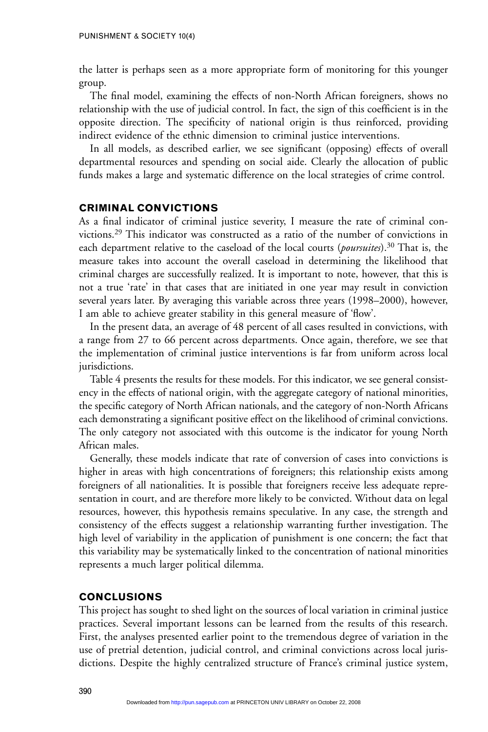the latter is perhaps seen as a more appropriate form of monitoring for this younger group.

The final model, examining the effects of non-North African foreigners, shows no relationship with the use of judicial control. In fact, the sign of this coefficient is in the opposite direction. The specificity of national origin is thus reinforced, providing indirect evidence of the ethnic dimension to criminal justice interventions.

In all models, as described earlier, we see significant (opposing) effects of overall departmental resources and spending on social aide. Clearly the allocation of public funds makes a large and systematic difference on the local strategies of crime control.

## **CRIMINAL CONVICTIONS**

As a final indicator of criminal justice severity, I measure the rate of criminal convictions.29 This indicator was constructed as a ratio of the number of convictions in each department relative to the caseload of the local courts (*poursuites*).30 That is, the measure takes into account the overall caseload in determining the likelihood that criminal charges are successfully realized. It is important to note, however, that this is not a true 'rate' in that cases that are initiated in one year may result in conviction several years later. By averaging this variable across three years (1998–2000), however, I am able to achieve greater stability in this general measure of 'flow'.

In the present data, an average of 48 percent of all cases resulted in convictions, with a range from 27 to 66 percent across departments. Once again, therefore, we see that the implementation of criminal justice interventions is far from uniform across local jurisdictions.

Table 4 presents the results for these models. For this indicator, we see general consistency in the effects of national origin, with the aggregate category of national minorities, the specific category of North African nationals, and the category of non-North Africans each demonstrating a significant positive effect on the likelihood of criminal convictions. The only category not associated with this outcome is the indicator for young North African males.

Generally, these models indicate that rate of conversion of cases into convictions is higher in areas with high concentrations of foreigners; this relationship exists among foreigners of all nationalities. It is possible that foreigners receive less adequate representation in court, and are therefore more likely to be convicted. Without data on legal resources, however, this hypothesis remains speculative. In any case, the strength and consistency of the effects suggest a relationship warranting further investigation. The high level of variability in the application of punishment is one concern; the fact that this variability may be systematically linked to the concentration of national minorities represents a much larger political dilemma.

## **CONCLUSIONS**

This project has sought to shed light on the sources of local variation in criminal justice practices. Several important lessons can be learned from the results of this research. First, the analyses presented earlier point to the tremendous degree of variation in the use of pretrial detention, judicial control, and criminal convictions across local jurisdictions. Despite the highly centralized structure of France's criminal justice system,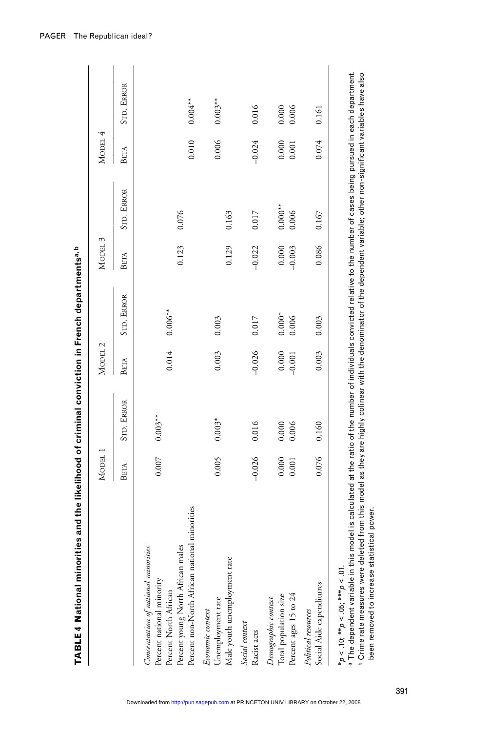|                                                                                                                                                                                                                                                                                                                                                                                                                    | Model 1     |            | MODEL <sub>2</sub> |            | MODEL <sub>3</sub> |            | Model 4     |            |
|--------------------------------------------------------------------------------------------------------------------------------------------------------------------------------------------------------------------------------------------------------------------------------------------------------------------------------------------------------------------------------------------------------------------|-------------|------------|--------------------|------------|--------------------|------------|-------------|------------|
|                                                                                                                                                                                                                                                                                                                                                                                                                    | <b>BETA</b> | STD. ERROR | <b>BETA</b>        | STD. ERROR | <b>BETA</b>        | STD. ERROR | <b>BETA</b> | STD. ERROR |
| Percent national minority<br>Percent North African<br>Percent young North African males<br>Percent non-North African national minorities<br>Concentration of national minorities                                                                                                                                                                                                                                   | 0.007       | $0.003***$ | 0.014              | $0.006***$ |                    |            |             |            |
|                                                                                                                                                                                                                                                                                                                                                                                                                    |             |            |                    |            | 0.123              | 0.076      | 0.010       | $0.004***$ |
| Male youth unemployment rate<br>Unemployment rate<br>Economic context                                                                                                                                                                                                                                                                                                                                              | 0.005       | $0.003*$   | 0.003              | 0.003      | 0.129              | 0.163      | 0.006       | $0.003**$  |
| Social context<br>Racist acts                                                                                                                                                                                                                                                                                                                                                                                      | $-0.026$    | 0.016      | $-0.026$           | 0.017      | $-0.022$           | 0.017      | $-0.024$    | 0.016      |
| Demographic context<br>Total population size                                                                                                                                                                                                                                                                                                                                                                       | 0.000       | 0.000      | 0.000              | $0.000*$   | 0.000              | $0.000**$  | 0.000       | 0.000      |
| Percent ages 15 to 24                                                                                                                                                                                                                                                                                                                                                                                              | 0.001       | 0.006      | $-0.001$           | 0.006      | $-0.003$           | 0.006      | 0.001       | 0.006      |
| Social Aide expenditures<br>Political resources                                                                                                                                                                                                                                                                                                                                                                    | 0.076       | 0.160      | 0.003              | 0.003      | 0.086              | 0.167      | 0.074       | 0.161      |
| a The dependent variable in this model is calculated at the ratio of the number of individuals convicted relative to the number of cases being pursued in each department.<br>leted from this model as they are highly colinear with the denominator of the dependent variable; other non-significant variables have also<br><sup>b</sup> Crime rate measures were de<br>$*_{p} < .10; *_{p} < .05; **_{p} < .01.$ |             |            |                    |            |                    |            |             |            |

TABLE 4 National minorities and the likelihood of criminal conviction in French departments<sup>a, b</sup> **TABLE 4 National minorities and the likelihood of criminal conviction in French departmentsa, b**

PAGER The Republican ideal?

been removed to increase statistical power.

been removed to increase statistical power.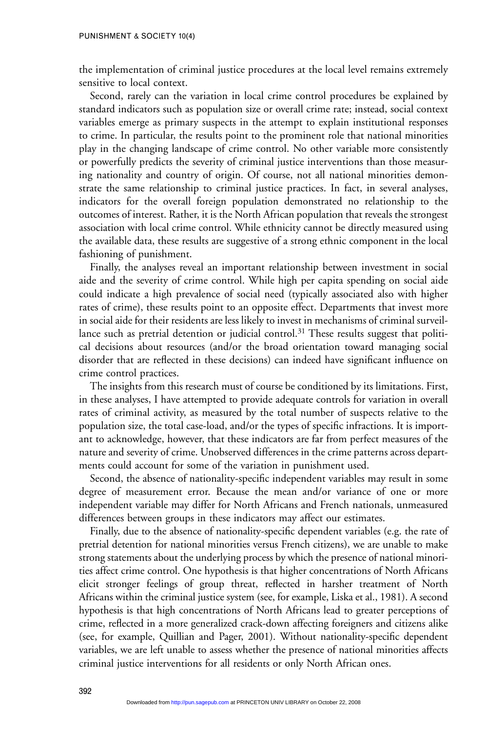the implementation of criminal justice procedures at the local level remains extremely sensitive to local context.

Second, rarely can the variation in local crime control procedures be explained by standard indicators such as population size or overall crime rate; instead, social context variables emerge as primary suspects in the attempt to explain institutional responses to crime. In particular, the results point to the prominent role that national minorities play in the changing landscape of crime control. No other variable more consistently or powerfully predicts the severity of criminal justice interventions than those measuring nationality and country of origin. Of course, not all national minorities demonstrate the same relationship to criminal justice practices. In fact, in several analyses, indicators for the overall foreign population demonstrated no relationship to the outcomes of interest. Rather, it is the North African population that reveals the strongest association with local crime control. While ethnicity cannot be directly measured using the available data, these results are suggestive of a strong ethnic component in the local fashioning of punishment.

Finally, the analyses reveal an important relationship between investment in social aide and the severity of crime control. While high per capita spending on social aide could indicate a high prevalence of social need (typically associated also with higher rates of crime), these results point to an opposite effect. Departments that invest more in social aide for their residents are less likely to invest in mechanisms of criminal surveillance such as pretrial detention or judicial control.<sup>31</sup> These results suggest that political decisions about resources (and/or the broad orientation toward managing social disorder that are reflected in these decisions) can indeed have significant influence on crime control practices.

The insights from this research must of course be conditioned by its limitations. First, in these analyses, I have attempted to provide adequate controls for variation in overall rates of criminal activity, as measured by the total number of suspects relative to the population size, the total case-load, and/or the types of specific infractions. It is important to acknowledge, however, that these indicators are far from perfect measures of the nature and severity of crime. Unobserved differences in the crime patterns across departments could account for some of the variation in punishment used.

Second, the absence of nationality-specific independent variables may result in some degree of measurement error. Because the mean and/or variance of one or more independent variable may differ for North Africans and French nationals, unmeasured differences between groups in these indicators may affect our estimates.

Finally, due to the absence of nationality-specific dependent variables (e.g. the rate of pretrial detention for national minorities versus French citizens), we are unable to make strong statements about the underlying process by which the presence of national minorities affect crime control. One hypothesis is that higher concentrations of North Africans elicit stronger feelings of group threat, reflected in harsher treatment of North Africans within the criminal justice system (see, for example, Liska et al., 1981). A second hypothesis is that high concentrations of North Africans lead to greater perceptions of crime, reflected in a more generalized crack-down affecting foreigners and citizens alike (see, for example, Quillian and Pager, 2001). Without nationality-specific dependent variables, we are left unable to assess whether the presence of national minorities affects criminal justice interventions for all residents or only North African ones.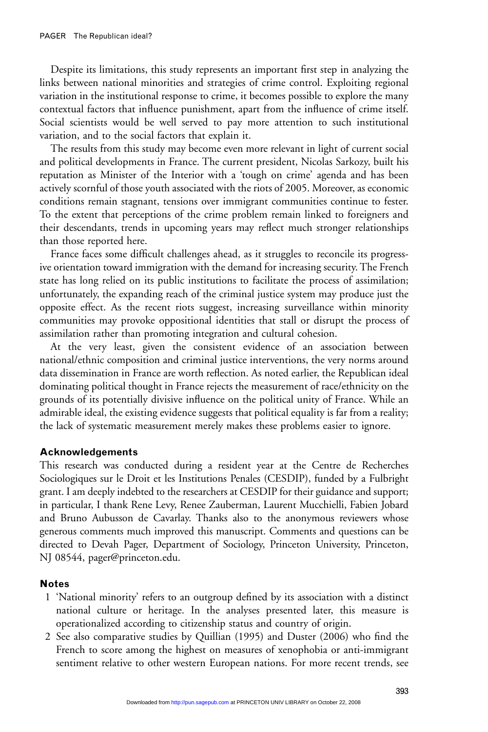Despite its limitations, this study represents an important first step in analyzing the links between national minorities and strategies of crime control. Exploiting regional variation in the institutional response to crime, it becomes possible to explore the many contextual factors that influence punishment, apart from the influence of crime itself. Social scientists would be well served to pay more attention to such institutional variation, and to the social factors that explain it.

The results from this study may become even more relevant in light of current social and political developments in France. The current president, Nicolas Sarkozy, built his reputation as Minister of the Interior with a 'tough on crime' agenda and has been actively scornful of those youth associated with the riots of 2005. Moreover, as economic conditions remain stagnant, tensions over immigrant communities continue to fester. To the extent that perceptions of the crime problem remain linked to foreigners and their descendants, trends in upcoming years may reflect much stronger relationships than those reported here.

France faces some difficult challenges ahead, as it struggles to reconcile its progressive orientation toward immigration with the demand for increasing security. The French state has long relied on its public institutions to facilitate the process of assimilation; unfortunately, the expanding reach of the criminal justice system may produce just the opposite effect. As the recent riots suggest, increasing surveillance within minority communities may provoke oppositional identities that stall or disrupt the process of assimilation rather than promoting integration and cultural cohesion.

At the very least, given the consistent evidence of an association between national/ethnic composition and criminal justice interventions, the very norms around data dissemination in France are worth reflection. As noted earlier, the Republican ideal dominating political thought in France rejects the measurement of race/ethnicity on the grounds of its potentially divisive influence on the political unity of France. While an admirable ideal, the existing evidence suggests that political equality is far from a reality; the lack of systematic measurement merely makes these problems easier to ignore.

## **Acknowledgements**

This research was conducted during a resident year at the Centre de Recherches Sociologiques sur le Droit et les Institutions Penales (CESDIP), funded by a Fulbright grant. I am deeply indebted to the researchers at CESDIP for their guidance and support; in particular, I thank Rene Levy, Renee Zauberman, Laurent Mucchielli, Fabien Jobard and Bruno Aubusson de Cavarlay. Thanks also to the anonymous reviewers whose generous comments much improved this manuscript. Comments and questions can be directed to Devah Pager, Department of Sociology, Princeton University, Princeton, NJ 08544, pager@princeton.edu.

# **Notes**

- 1 'National minority' refers to an outgroup defined by its association with a distinct national culture or heritage. In the analyses presented later, this measure is operationalized according to citizenship status and country of origin.
- 2 See also comparative studies by Quillian (1995) and Duster (2006) who find the French to score among the highest on measures of xenophobia or anti-immigrant sentiment relative to other western European nations. For more recent trends, see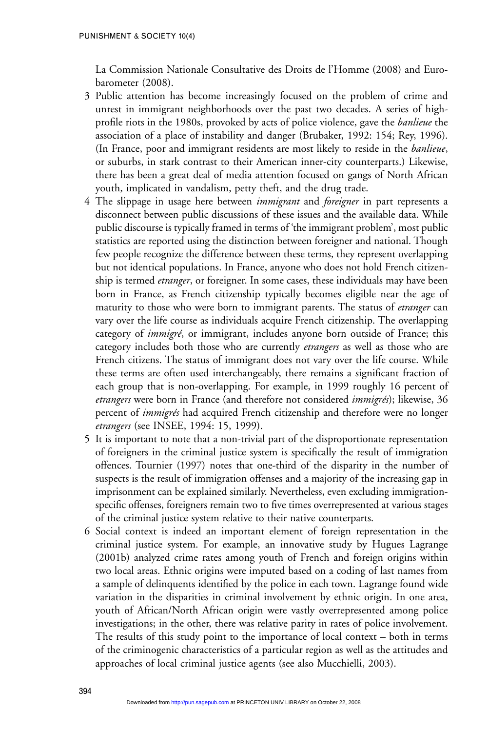La Commission Nationale Consultative des Droits de l'Homme (2008) and Eurobarometer (2008).

- 3 Public attention has become increasingly focused on the problem of crime and unrest in immigrant neighborhoods over the past two decades. A series of highprofile riots in the 1980s, provoked by acts of police violence, gave the *banlieue* the association of a place of instability and danger (Brubaker, 1992: 154; Rey, 1996). (In France, poor and immigrant residents are most likely to reside in the *banlieue*, or suburbs, in stark contrast to their American inner-city counterparts.) Likewise, there has been a great deal of media attention focused on gangs of North African youth, implicated in vandalism, petty theft, and the drug trade.
- 4 The slippage in usage here between *immigrant* and *foreigner* in part represents a disconnect between public discussions of these issues and the available data. While public discourse is typically framed in terms of 'the immigrant problem', most public statistics are reported using the distinction between foreigner and national. Though few people recognize the difference between these terms, they represent overlapping but not identical populations. In France, anyone who does not hold French citizenship is termed *etranger*, or foreigner. In some cases, these individuals may have been born in France, as French citizenship typically becomes eligible near the age of maturity to those who were born to immigrant parents. The status of *etranger* can vary over the life course as individuals acquire French citizenship. The overlapping category of *immigré*, or immigrant, includes anyone born outside of France; this category includes both those who are currently *etrangers* as well as those who are French citizens. The status of immigrant does not vary over the life course. While these terms are often used interchangeably, there remains a significant fraction of each group that is non-overlapping. For example, in 1999 roughly 16 percent of *etrangers* were born in France (and therefore not considered *immigrés*); likewise, 36 percent of *immigrés* had acquired French citizenship and therefore were no longer *etrangers* (see INSEE, 1994: 15, 1999).
- 5 It is important to note that a non-trivial part of the disproportionate representation of foreigners in the criminal justice system is specifically the result of immigration offences. Tournier (1997) notes that one-third of the disparity in the number of suspects is the result of immigration offenses and a majority of the increasing gap in imprisonment can be explained similarly. Nevertheless, even excluding immigrationspecific offenses, foreigners remain two to five times overrepresented at various stages of the criminal justice system relative to their native counterparts.
- 6 Social context is indeed an important element of foreign representation in the criminal justice system. For example, an innovative study by Hugues Lagrange (2001b) analyzed crime rates among youth of French and foreign origins within two local areas. Ethnic origins were imputed based on a coding of last names from a sample of delinquents identified by the police in each town. Lagrange found wide variation in the disparities in criminal involvement by ethnic origin. In one area, youth of African/North African origin were vastly overrepresented among police investigations; in the other, there was relative parity in rates of police involvement. The results of this study point to the importance of local context – both in terms of the criminogenic characteristics of a particular region as well as the attitudes and approaches of local criminal justice agents (see also Mucchielli, 2003).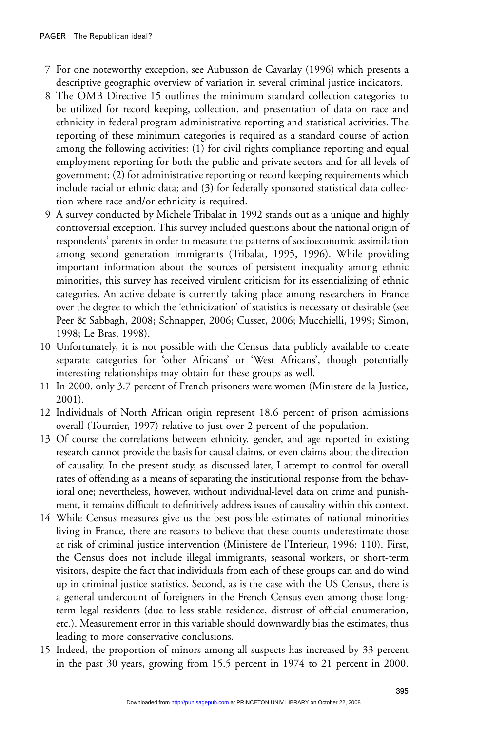- 7 For one noteworthy exception, see Aubusson de Cavarlay (1996) which presents a descriptive geographic overview of variation in several criminal justice indicators.
- 8 The OMB Directive 15 outlines the minimum standard collection categories to be utilized for record keeping, collection, and presentation of data on race and ethnicity in federal program administrative reporting and statistical activities. The reporting of these minimum categories is required as a standard course of action among the following activities: (1) for civil rights compliance reporting and equal employment reporting for both the public and private sectors and for all levels of government; (2) for administrative reporting or record keeping requirements which include racial or ethnic data; and (3) for federally sponsored statistical data collection where race and/or ethnicity is required.
- 9 A survey conducted by Michele Tribalat in 1992 stands out as a unique and highly controversial exception. This survey included questions about the national origin of respondents' parents in order to measure the patterns of socioeconomic assimilation among second generation immigrants (Tribalat, 1995, 1996). While providing important information about the sources of persistent inequality among ethnic minorities, this survey has received virulent criticism for its essentializing of ethnic categories. An active debate is currently taking place among researchers in France over the degree to which the 'ethnicization' of statistics is necessary or desirable (see Peer & Sabbagh, 2008; Schnapper, 2006; Cusset, 2006; Mucchielli, 1999; Simon, 1998; Le Bras, 1998).
- 10 Unfortunately, it is not possible with the Census data publicly available to create separate categories for 'other Africans' or 'West Africans', though potentially interesting relationships may obtain for these groups as well.
- 11 In 2000, only 3.7 percent of French prisoners were women (Ministere de la Justice, 2001).
- 12 Individuals of North African origin represent 18.6 percent of prison admissions overall (Tournier, 1997) relative to just over 2 percent of the population.
- 13 Of course the correlations between ethnicity, gender, and age reported in existing research cannot provide the basis for causal claims, or even claims about the direction of causality. In the present study, as discussed later, I attempt to control for overall rates of offending as a means of separating the institutional response from the behavioral one; nevertheless, however, without individual-level data on crime and punishment, it remains difficult to definitively address issues of causality within this context.
- 14 While Census measures give us the best possible estimates of national minorities living in France, there are reasons to believe that these counts underestimate those at risk of criminal justice intervention (Ministere de l'Interieur, 1996: 110). First, the Census does not include illegal immigrants, seasonal workers, or short-term visitors, despite the fact that individuals from each of these groups can and do wind up in criminal justice statistics. Second, as is the case with the US Census, there is a general undercount of foreigners in the French Census even among those longterm legal residents (due to less stable residence, distrust of official enumeration, etc.). Measurement error in this variable should downwardly bias the estimates, thus leading to more conservative conclusions.
- 15 Indeed, the proportion of minors among all suspects has increased by 33 percent in the past 30 years, growing from 15.5 percent in 1974 to 21 percent in 2000.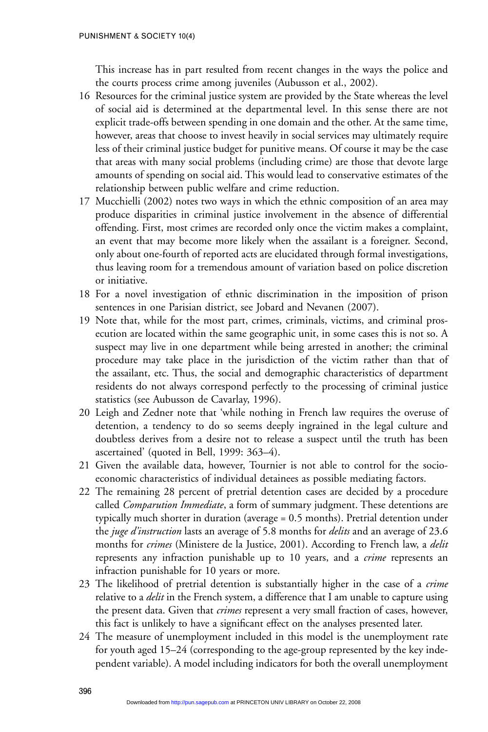This increase has in part resulted from recent changes in the ways the police and the courts process crime among juveniles (Aubusson et al., 2002).

- 16 Resources for the criminal justice system are provided by the State whereas the level of social aid is determined at the departmental level. In this sense there are not explicit trade-offs between spending in one domain and the other. At the same time, however, areas that choose to invest heavily in social services may ultimately require less of their criminal justice budget for punitive means. Of course it may be the case that areas with many social problems (including crime) are those that devote large amounts of spending on social aid. This would lead to conservative estimates of the relationship between public welfare and crime reduction.
- 17 Mucchielli (2002) notes two ways in which the ethnic composition of an area may produce disparities in criminal justice involvement in the absence of differential offending. First, most crimes are recorded only once the victim makes a complaint, an event that may become more likely when the assailant is a foreigner. Second, only about one-fourth of reported acts are elucidated through formal investigations, thus leaving room for a tremendous amount of variation based on police discretion or initiative.
- 18 For a novel investigation of ethnic discrimination in the imposition of prison sentences in one Parisian district, see Jobard and Nevanen (2007).
- 19 Note that, while for the most part, crimes, criminals, victims, and criminal prosecution are located within the same geographic unit, in some cases this is not so. A suspect may live in one department while being arrested in another; the criminal procedure may take place in the jurisdiction of the victim rather than that of the assailant, etc. Thus, the social and demographic characteristics of department residents do not always correspond perfectly to the processing of criminal justice statistics (see Aubusson de Cavarlay, 1996).
- 20 Leigh and Zedner note that 'while nothing in French law requires the overuse of detention, a tendency to do so seems deeply ingrained in the legal culture and doubtless derives from a desire not to release a suspect until the truth has been ascertained' (quoted in Bell, 1999: 363–4).
- 21 Given the available data, however, Tournier is not able to control for the socioeconomic characteristics of individual detainees as possible mediating factors.
- 22 The remaining 28 percent of pretrial detention cases are decided by a procedure called *Comparution Immediate*, a form of summary judgment. These detentions are typically much shorter in duration (average = 0.5 months). Pretrial detention under the *juge d'instruction* lasts an average of 5.8 months for *delits* and an average of 23.6 months for *crimes* (Ministere de la Justice, 2001). According to French law, a *delit* represents any infraction punishable up to 10 years, and a *crime* represents an infraction punishable for 10 years or more.
- 23 The likelihood of pretrial detention is substantially higher in the case of a *crime* relative to a *delit* in the French system, a difference that I am unable to capture using the present data. Given that *crimes* represent a very small fraction of cases, however, this fact is unlikely to have a significant effect on the analyses presented later.
- 24 The measure of unemployment included in this model is the unemployment rate for youth aged 15–24 (corresponding to the age-group represented by the key independent variable). A model including indicators for both the overall unemployment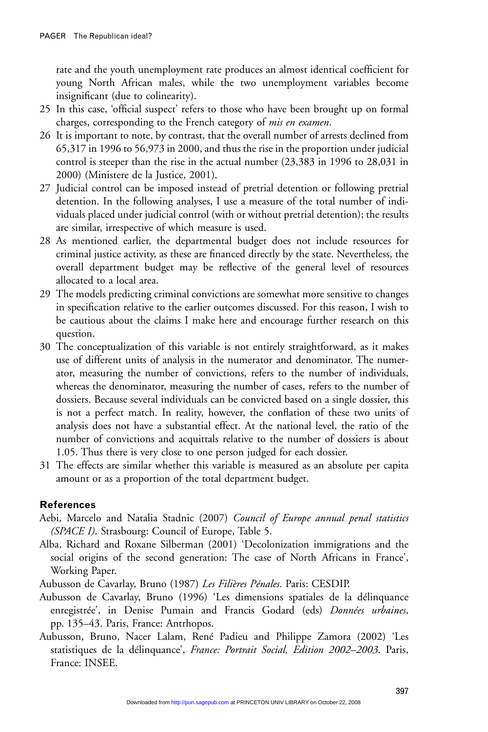rate and the youth unemployment rate produces an almost identical coefficient for young North African males, while the two unemployment variables become insignificant (due to colinearity).

- 25 In this case, 'official suspect' refers to those who have been brought up on formal charges, corresponding to the French category of *mis en examen*.
- 26 It is important to note, by contrast, that the overall number of arrests declined from 65,317 in 1996 to 56,973 in 2000, and thus the rise in the proportion under judicial control is steeper than the rise in the actual number (23,383 in 1996 to 28,031 in 2000) (Ministere de la Justice, 2001).
- 27 Judicial control can be imposed instead of pretrial detention or following pretrial detention. In the following analyses, I use a measure of the total number of individuals placed under judicial control (with or without pretrial detention); the results are similar, irrespective of which measure is used.
- 28 As mentioned earlier, the departmental budget does not include resources for criminal justice activity, as these are financed directly by the state. Nevertheless, the overall department budget may be reflective of the general level of resources allocated to a local area.
- 29 The models predicting criminal convictions are somewhat more sensitive to changes in specification relative to the earlier outcomes discussed. For this reason, I wish to be cautious about the claims I make here and encourage further research on this question.
- 30 The conceptualization of this variable is not entirely straightforward, as it makes use of different units of analysis in the numerator and denominator. The numerator, measuring the number of convictions, refers to the number of individuals, whereas the denominator, measuring the number of cases, refers to the number of dossiers. Because several individuals can be convicted based on a single dossier, this is not a perfect match. In reality, however, the conflation of these two units of analysis does not have a substantial effect. At the national level, the ratio of the number of convictions and acquittals relative to the number of dossiers is about 1.05. Thus there is very close to one person judged for each dossier.
- 31 The effects are similar whether this variable is measured as an absolute per capita amount or as a proportion of the total department budget.

# **References**

- Aebi, Marcelo and Natalia Stadnic (2007) *Council of Europe annual penal statistics (SPACE I)*. Strasbourg: Council of Europe, Table 5.
- Alba, Richard and Roxane Silberman (2001) 'Decolonization immigrations and the social origins of the second generation: The case of North Africans in France', Working Paper.
- Aubusson de Cavarlay, Bruno (1987) *Les Filières Pénales*. Paris: CESDIP.
- Aubusson de Cavarlay, Bruno (1996) 'Les dimensions spatiales de la délinquance enregistrée', in Denise Pumain and Francis Godard (eds) *Données urbaines*, pp. 135–43. Paris, France: Antrhopos.
- Aubusson, Bruno, Nacer Lalam, René Padieu and Philippe Zamora (2002) 'Les statistiques de la délinquance', *France: Portrait Social, Edition 2002–2003*. Paris, France: INSEE.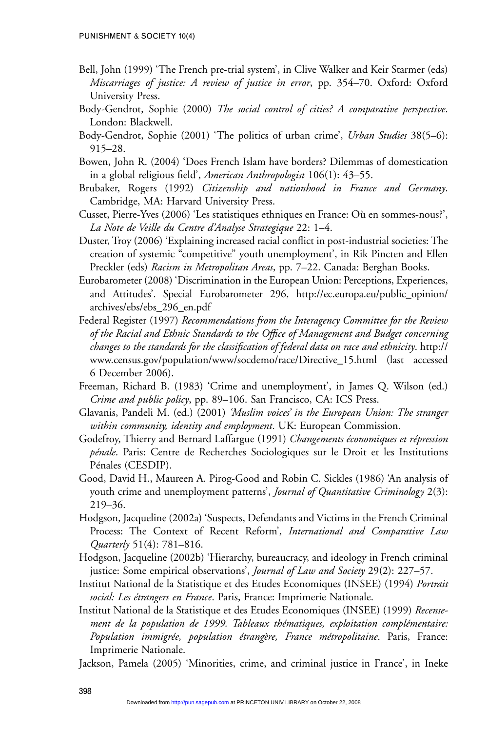- Bell, John (1999) 'The French pre-trial system', in Clive Walker and Keir Starmer (eds) *Miscarriages of justice: A review of justice in error*, pp. 354–70. Oxford: Oxford University Press.
- Body-Gendrot, Sophie (2000) *The social control of cities? A comparative perspective*. London: Blackwell.
- Body-Gendrot, Sophie (2001) 'The politics of urban crime', *Urban Studies* 38(5–6): 915–28.
- Bowen, John R. (2004) 'Does French Islam have borders? Dilemmas of domestication in a global religious field', *American Anthropologist* 106(1): 43–55.
- Brubaker, Rogers (1992) *Citizenship and nationhood in France and Germany*. Cambridge, MA: Harvard University Press.
- Cusset, Pierre-Yves (2006) 'Les statistiques ethniques en France: Où en sommes-nous?', *La Note de Veille du Centre d'Analyse Strategique* 22: 1–4.
- Duster, Troy (2006) 'Explaining increased racial conflict in post-industrial societies: The creation of systemic "competitive" youth unemployment', in Rik Pincten and Ellen Preckler (eds) *Racism in Metropolitan Areas*, pp. 7–22. Canada: Berghan Books.
- Eurobarometer (2008) 'Discrimination in the European Union: Perceptions, Experiences, and Attitudes'. Special Eurobarometer 296, http://ec.europa.eu/public\_opinion/ archives/ebs/ebs\_296\_en.pdf
- Federal Register (1997) *Recommendations from the Interagency Committee for the Review of the Racial and Ethnic Standards to the Office of Management and Budget concerning changes to the standards for the classification of federal data on race and ethnicity*. http:// www.census.gov/population/www/socdemo/race/Directive\_15.html (last accessed 6 December 2006).
- Freeman, Richard B. (1983) 'Crime and unemployment', in James Q. Wilson (ed.) *Crime and public policy*, pp. 89–106. San Francisco, CA: ICS Press.
- Glavanis, Pandeli M. (ed.) (2001) *'Muslim voices' in the European Union: The stranger within community, identity and employment*. UK: European Commission.
- Godefroy, Thierry and Bernard Laffargue (1991) *Changements économiques et répression pénale*. Paris: Centre de Recherches Sociologiques sur le Droit et les Institutions Pénales (CESDIP).
- Good, David H., Maureen A. Pirog-Good and Robin C. Sickles (1986) 'An analysis of youth crime and unemployment patterns', *Journal of Quantitative Criminology* 2(3): 219–36.
- Hodgson, Jacqueline (2002a) 'Suspects, Defendants and Victims in the French Criminal Process: The Context of Recent Reform', *International and Comparative Law Quarterly* 51(4): 781–816.
- Hodgson, Jacqueline (2002b) 'Hierarchy, bureaucracy, and ideology in French criminal justice: Some empirical observations', *Journal of Law and Society* 29(2): 227–57.
- Institut National de la Statistique et des Etudes Economiques (INSEE) (1994) *Portrait social: Les étrangers en France*. Paris, France: Imprimerie Nationale.
- Institut National de la Statistique et des Etudes Economiques (INSEE) (1999) *Recensement de la population de 1999. Tableaux thématiques, exploitation complémentaire: Population immigrée, population étrangère, France métropolitaine*. Paris, France: Imprimerie Nationale.
- Jackson, Pamela (2005) 'Minorities, crime, and criminal justice in France', in Ineke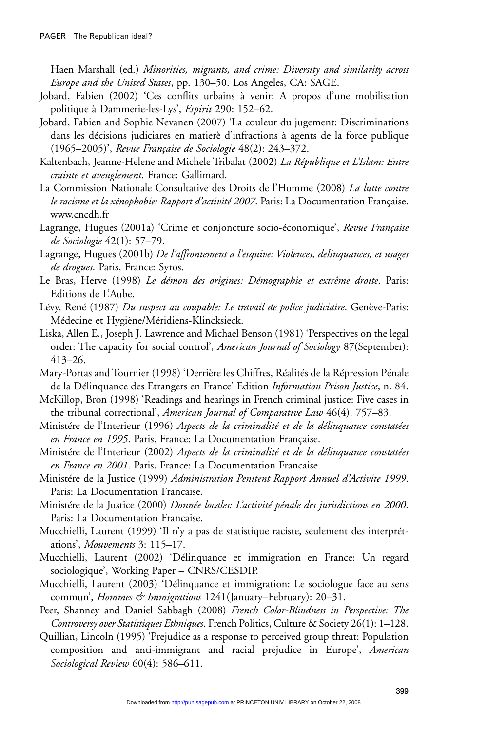Haen Marshall (ed.) *Minorities, migrants, and crime: Diversity and similarity across Europe and the United States*, pp. 130–50. Los Angeles, CA: SAGE.

- Jobard, Fabien (2002) 'Ces conflits urbains à venir: A propos d'une mobilisation politique à Dammerie-les-Lys', *Espirit* 290: 152–62.
- Jobard, Fabien and Sophie Nevanen (2007) 'La couleur du jugement: Discriminations dans les décisions judiciares en matierè d'infractions à agents de la force publique (1965–2005)', *Revue Française de Sociologie* 48(2): 243–372.
- Kaltenbach, Jeanne-Helene and Michele Tribalat (2002) *La République et L'Islam: Entre crainte et aveuglement*. France: Gallimard.
- La Commission Nationale Consultative des Droits de l'Homme (2008) *La lutte contre le racisme et la xénophobie: Rapport d'activité 2007*. Paris: La Documentation Française. www.cncdh.fr
- Lagrange, Hugues (2001a) 'Crime et conjoncture socio-économique', *Revue Française de Sociologie* 42(1): 57–79.
- Lagrange, Hugues (2001b) *De l'affrontement a l'esquive: Violences, delinquances, et usages de drogues*. Paris, France: Syros.
- Le Bras, Herve (1998) *Le démon des origines: Démographie et extrême droite*. Paris: Editions de L'Aube.
- Lévy, René (1987) *Du suspect au coupable: Le travail de police judiciaire*. Genève-Paris: Médecine et Hygiène/Méridiens-Klincksieck.
- Liska, Allen E., Joseph J. Lawrence and Michael Benson (1981) 'Perspectives on the legal order: The capacity for social control', *American Journal of Sociology* 87(September): 413–26.
- Mary-Portas and Tournier (1998) 'Derrière les Chiffres, Réalités de la Répression Pénale de la Délinquance des Etrangers en France' Edition *Information Prison Justice*, n. 84.
- McKillop, Bron (1998) 'Readings and hearings in French criminal justice: Five cases in the tribunal correctional', *American Journal of Comparative Law* 46(4): 757–83.
- Ministére de l'Interieur (1996) *Aspects de la criminalité et de la délinquance constatées en France en 1995*. Paris, France: La Documentation Française.
- Ministére de l'Interieur (2002) *Aspects de la criminalité et de la délinquance constatées en France en 2001*. Paris, France: La Documentation Francaise.
- Ministére de la Justice (1999) *Administration Penitent Rapport Annuel d'Activite 1999*. Paris: La Documentation Francaise.
- Ministére de la Justice (2000) *Donnée locales: L'activité pénale des jurisdictions en 2000*. Paris: La Documentation Francaise.
- Mucchielli, Laurent (1999) 'Il n'y a pas de statistique raciste, seulement des interprétations', *Mouvements* 3: 115–17.
- Mucchielli, Laurent (2002) 'Délinquance et immigration en France: Un regard sociologique', Working Paper – CNRS/CESDIP.
- Mucchielli, Laurent (2003) 'Délinquance et immigration: Le sociologue face au sens commun', *Hommes & Immigrations* 1241(January–February): 20–31.
- Peer, Shanney and Daniel Sabbagh (2008) *French Color-Blindness in Perspective: The Controversy over Statistiques Ethniques*. French Politics, Culture & Society 26(1): 1–128.
- Quillian, Lincoln (1995) 'Prejudice as a response to perceived group threat: Population composition and anti-immigrant and racial prejudice in Europe', *American Sociological Review* 60(4): 586–611.